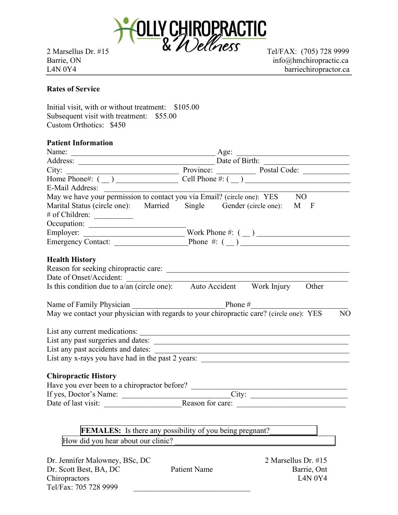

Barrie, ON info@hmchiropractic.ca L4N 0Y4 barriechiropractor.ca

## Rates of Service

Initial visit, with or without treatment: \$105.00 Subsequent visit with treatment: \$55.00 Custom Orthotics: \$450

## Patient Information

| Name:                                        | Age:<br><u> 1989 - Johann Barbara, martxa amerikan personal (</u>                                         |
|----------------------------------------------|-----------------------------------------------------------------------------------------------------------|
|                                              |                                                                                                           |
| City:                                        | Province: Postal Code:                                                                                    |
|                                              | Home Phone#: $($ $)$ $\qquad$ Cell Phone #: $($ $)$ $\qquad$                                              |
|                                              | E-Mail Address:<br>May we have your permission to contact you via Email? (circle one): YES NO             |
|                                              |                                                                                                           |
|                                              | Marital Status (circle one): Married Single Gender (circle one): M F                                      |
| # of Children:                               |                                                                                                           |
| Occupation:                                  |                                                                                                           |
|                                              |                                                                                                           |
|                                              |                                                                                                           |
|                                              |                                                                                                           |
| <b>Health History</b>                        |                                                                                                           |
|                                              |                                                                                                           |
|                                              | Date of Onset/Accident:<br>Is this condition due to a/an (circle one): Auto Accident Work Injury Other    |
|                                              |                                                                                                           |
|                                              |                                                                                                           |
|                                              | May we contact your physician with regards to your chiropractic care? (circle one): YES<br>N <sub>O</sub> |
|                                              |                                                                                                           |
|                                              |                                                                                                           |
|                                              | List any past surgeries and dates:                                                                        |
|                                              | List any past accidents and dates:                                                                        |
|                                              | List any x-rays you have had in the past 2 years: _______________________________                         |
|                                              |                                                                                                           |
| <b>Chiropractic History</b>                  |                                                                                                           |
| Have you ever been to a chiropractor before? |                                                                                                           |
|                                              |                                                                                                           |
|                                              |                                                                                                           |
|                                              |                                                                                                           |
|                                              |                                                                                                           |
|                                              | <b>FEMALES:</b> Is there any possibility of you being pregnant?                                           |
| How did you hear about our clinic?           |                                                                                                           |
| Dr. Jennifer Malowney, BSc, DC               | 2 Marsellus Dr. #15                                                                                       |
| Dr. Scott Best, BA, DC                       | <b>Patient Name</b><br>Barrie, Ont                                                                        |

Chiropractors L4N 0Y4 Tel/Fax: 705 728 9999